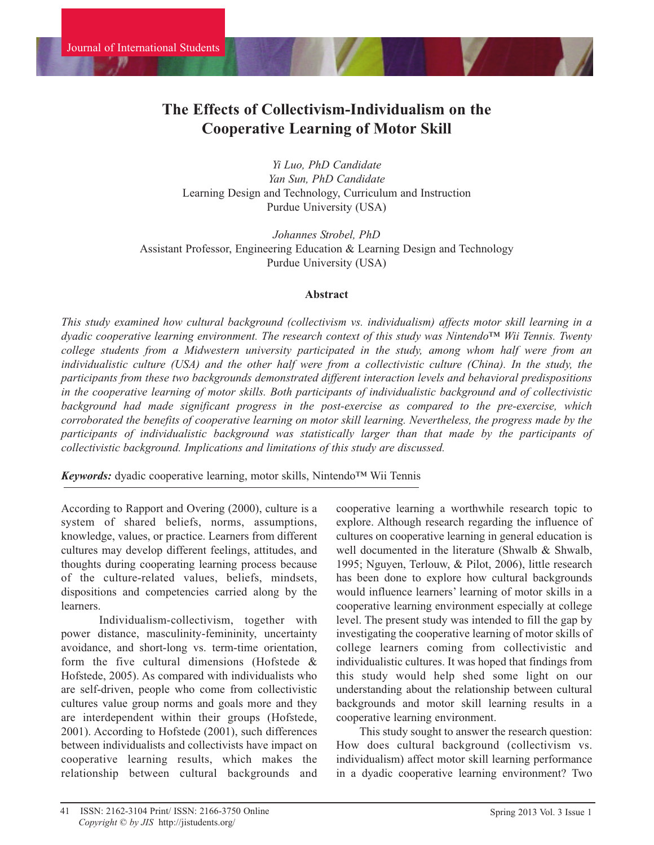# **The Effects of Collectivism-Individualism on the Cooperative Learning of Motor Skill**

*Yi Luo, PhD Candidate Yan Sun, PhD Candidate* Learning Design and Technology, Curriculum and Instruction Purdue University (USA)

*Johannes Strobel, PhD* Assistant Professor, Engineering Education & Learning Design and Technology Purdue University (USA)

#### **Abstract**

*This study examined how cultural background (collectivism vs. individualism) affects motor skill learning in a dyadic cooperative learning environment. The research context of this study was Nintendo™ Wii Tennis. Twenty college students from a Midwestern university participated in the study, among whom half were from an* individualistic culture (USA) and the other half were from a collectivistic culture (China). In the study, the *participants from these two backgrounds demonstrated different interaction levels and behavioral predispositions in the cooperative learning of motor skills. Both participants of individualistic background and of collectivistic background had made significant progress in the post-exercise as compared to the pre-exercise, which corroborated the benefits of cooperative learning on motor skill learning. Nevertheless, the progress made by the participants of individualistic background was statistically larger than that made by the participants of collectivistic background. Implications and limitations of this study are discussed.* 

*Keywords:* dyadic cooperative learning, motor skills, Nintendo™ Wii Tennis

According to Rapport and Overing (2000), culture is a system of shared beliefs, norms, assumptions, knowledge, values, or practice. Learners from different cultures may develop different feelings, attitudes, and thoughts during cooperating learning process because of the culture-related values, beliefs, mindsets, dispositions and competencies carried along by the learners.

Individualism-collectivism, together with power distance, masculinity-femininity, uncertainty avoidance, and short-long vs. term-time orientation, form the five cultural dimensions (Hofstede & Hofstede, 2005). As compared with individualists who are self-driven, people who come from collectivistic cultures value group norms and goals more and they are interdependent within their groups (Hofstede, 2001). According to Hofstede (2001), such differences between individualists and collectivists have impact on cooperative learning results, which makes the relationship between cultural backgrounds and

cooperative learning a worthwhile research topic to explore. Although research regarding the influence of cultures on cooperative learning in general education is well documented in the literature (Shwalb & Shwalb, 1995; Nguyen, Terlouw, & Pilot, 2006), little research has been done to explore how cultural backgrounds would influence learners' learning of motor skills in a cooperative learning environment especially at college level. The present study was intended to fill the gap by investigating the cooperative learning of motor skills of college learners coming from collectivistic and individualistic cultures. It was hoped that findings from this study would help shed some light on our understanding about the relationship between cultural backgrounds and motor skill learning results in a cooperative learning environment.

This study sought to answer the research question: How does cultural background (collectivism vs. individualism) affect motor skill learning performance in a dyadic cooperative learning environment? Two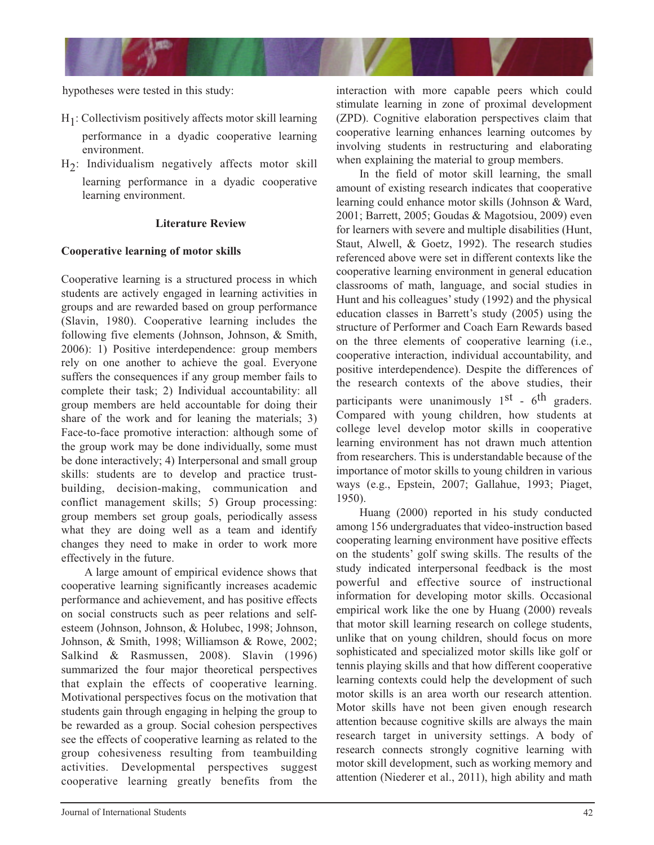

hypotheses were tested in this study:

- H1 : Collectivism positively affects motor skill learning performance in a dyadic cooperative learning environment.
- H2 : Individualism negatively affects motor skill learning performance in a dyadic cooperative learning environment.

# **Literature Review**

# **Cooperative learning of motor skills**

Cooperative learning is a structured process in which students are actively engaged in learning activities in groups and are rewarded based on group performance (Slavin, 1980). Cooperative learning includes the following five elements (Johnson, Johnson, & Smith, 2006): 1) Positive interdependence: group members rely on one another to achieve the goal. Everyone suffers the consequences if any group member fails to complete their task; 2) Individual accountability: all group members are held accountable for doing their share of the work and for leaning the materials; 3) Face-to-face promotive interaction: although some of the group work may be done individually, some must be done interactively; 4) Interpersonal and small group skills: students are to develop and practice trustbuilding, decision-making, communication and conflict management skills; 5) Group processing: group members set group goals, periodically assess what they are doing well as a team and identify changes they need to make in order to work more effectively in the future.

A large amount of empirical evidence shows that cooperative learning significantly increases academic performance and achievement, and has positive effects on social constructs such as peer relations and selfesteem (Johnson, Johnson, & Holubec, 1998; Johnson, Johnson, & Smith, 1998; Williamson & Rowe, 2002; Salkind & Rasmussen, 2008). Slavin (1996) summarized the four major theoretical perspectives that explain the effects of cooperative learning. Motivational perspectives focus on the motivation that students gain through engaging in helping the group to be rewarded as a group. Social cohesion perspectives see the effects of cooperative learning as related to the group cohesiveness resulting from teambuilding activities. Developmental perspectives suggest cooperative learning greatly benefits from the

interaction with more capable peers which could stimulate learning in zone of proximal development (ZPD). Cognitive elaboration perspectives claim that cooperative learning enhances learning outcomes by involving students in restructuring and elaborating when explaining the material to group members.

In the field of motor skill learning, the small amount of existing research indicates that cooperative learning could enhance motor skills (Johnson & Ward, 2001; Barrett, 2005; Goudas & Magotsiou, 2009) even for learners with severe and multiple disabilities (Hunt, Staut, Alwell, & Goetz, 1992). The research studies referenced above were set in different contexts like the cooperative learning environment in general education classrooms of math, language, and social studies in Hunt and his colleagues' study (1992) and the physical education classes in Barrett's study (2005) using the structure of Performer and Coach Earn Rewards based on the three elements of cooperative learning (i.e., cooperative interaction, individual accountability, and positive interdependence). Despite the differences of the research contexts of the above studies, their participants were unanimously  $1<sup>st</sup>$  - 6<sup>th</sup> graders. Compared with young children, how students at college level develop motor skills in cooperative learning environment has not drawn much attention from researchers. This is understandable because of the importance of motor skills to young children in various ways (e.g., Epstein, 2007; Gallahue, 1993; Piaget, 1950).

Huang (2000) reported in his study conducted among 156 undergraduates that video-instruction based cooperating learning environment have positive effects on the students' golf swing skills. The results of the study indicated interpersonal feedback is the most powerful and effective source of instructional information for developing motor skills. Occasional empirical work like the one by Huang (2000) reveals that motor skill learning research on college students, unlike that on young children, should focus on more sophisticated and specialized motor skills like golf or tennis playing skills and that how different cooperative learning contexts could help the development of such motor skills is an area worth our research attention. Motor skills have not been given enough research attention because cognitive skills are always the main research target in university settings. A body of research connects strongly cognitive learning with motor skill development, such as working memory and attention (Niederer et al., 2011), high ability and math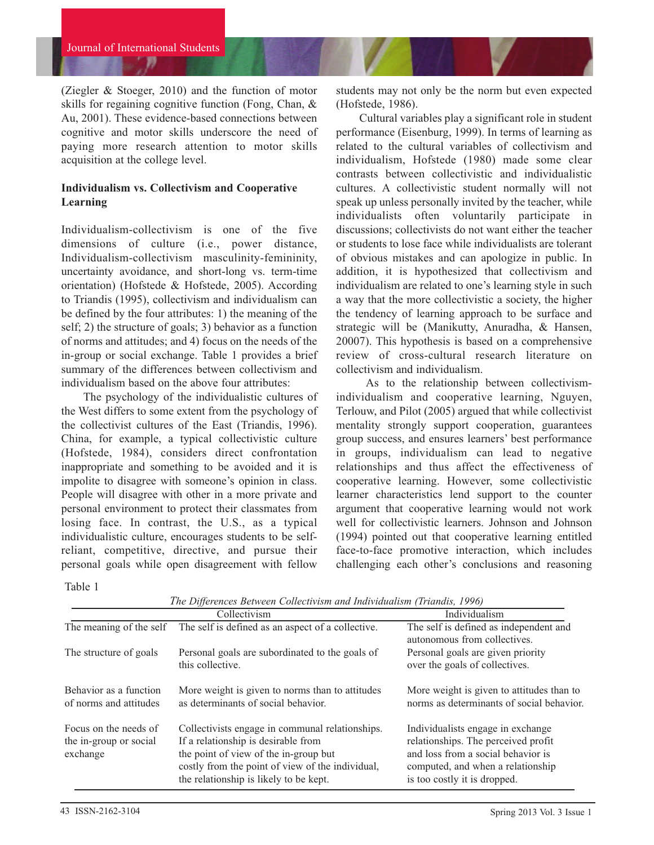(Ziegler & Stoeger, 2010) and the function of motor skills for regaining cognitive function (Fong, Chan, & Au, 2001). These evidence-based connections between cognitive and motor skills underscore the need of paying more research attention to motor skills acquisition at the college level.

# **Individualism vs. Collectivism and Cooperative Learning**

Individualism-collectivism is one of the five dimensions of culture (i.e., power distance, Individualism-collectivism masculinity-femininity, uncertainty avoidance, and short-long vs. term-time orientation) (Hofstede & Hofstede, 2005). According to Triandis (1995), collectivism and individualism can be defined by the four attributes: 1) the meaning of the self; 2) the structure of goals; 3) behavior as a function of norms and attitudes; and 4) focus on the needs of the in-group or social exchange. Table 1 provides a brief summary of the differences between collectivism and individualism based on the above four attributes:

The psychology of the individualistic cultures of the West differs to some extent from the psychology of the collectivist cultures of the East (Triandis, 1996). China, for example, a typical collectivistic culture (Hofstede, 1984), considers direct confrontation inappropriate and something to be avoided and it is impolite to disagree with someone's opinion in class. People will disagree with other in a more private and personal environment to protect their classmates from losing face. In contrast, the U.S., as a typical individualistic culture, encourages students to be selfreliant, competitive, directive, and pursue their personal goals while open disagreement with fellow

students may not only be the norm but even expected (Hofstede, 1986).

Cultural variables play a significant role in student performance (Eisenburg, 1999). In terms of learning as related to the cultural variables of collectivism and individualism, Hofstede (1980) made some clear contrasts between collectivistic and individualistic cultures. A collectivistic student normally will not speak up unless personally invited by the teacher, while individualists often voluntarily participate in discussions; collectivists do not want either the teacher or students to lose face while individualists are tolerant of obvious mistakes and can apologize in public. In addition, it is hypothesized that collectivism and individualism are related to one's learning style in such a way that the more collectivistic a society, the higher the tendency of learning approach to be surface and strategic will be (Manikutty, Anuradha, & Hansen, 20007). This hypothesis is based on a comprehensive review of cross-cultural research literature on collectivism and individualism.

As to the relationship between collectivismindividualism and cooperative learning, Nguyen, Terlouw, and Pilot (2005) argued that while collectivist mentality strongly support cooperation, guarantees group success, and ensures learners' best performance in groups, individualism can lead to negative relationships and thus affect the effectiveness of cooperative learning. However, some collectivistic learner characteristics lend support to the counter argument that cooperative learning would not work well for collectivistic learners. Johnson and Johnson (1994) pointed out that cooperative learning entitled face-to-face promotive interaction, which includes challenging each other's conclusions and reasoning

Table 1

|                                                             | Collectivism                                                                                                                                                                                                                  | Individualism                                                                                                                                                                       |
|-------------------------------------------------------------|-------------------------------------------------------------------------------------------------------------------------------------------------------------------------------------------------------------------------------|-------------------------------------------------------------------------------------------------------------------------------------------------------------------------------------|
| The meaning of the self                                     | The self is defined as an aspect of a collective.                                                                                                                                                                             | The self is defined as independent and<br>autonomous from collectives.                                                                                                              |
| The structure of goals                                      | Personal goals are subordinated to the goals of<br>this collective.                                                                                                                                                           | Personal goals are given priority<br>over the goals of collectives.                                                                                                                 |
| Behavior as a function<br>of norms and attitudes            | More weight is given to norms than to attitudes<br>as determinants of social behavior.                                                                                                                                        | More weight is given to attitudes than to<br>norms as determinants of social behavior.                                                                                              |
| Focus on the needs of<br>the in-group or social<br>exchange | Collectivists engage in communal relationships.<br>If a relationship is desirable from<br>the point of view of the in-group but<br>costly from the point of view of the individual,<br>the relationship is likely to be kept. | Individualists engage in exchange<br>relationships. The perceived profit<br>and loss from a social behavior is<br>computed, and when a relationship<br>is too costly it is dropped. |

*The Differences Between Collectivism and Individualism (Triandis, 1996)*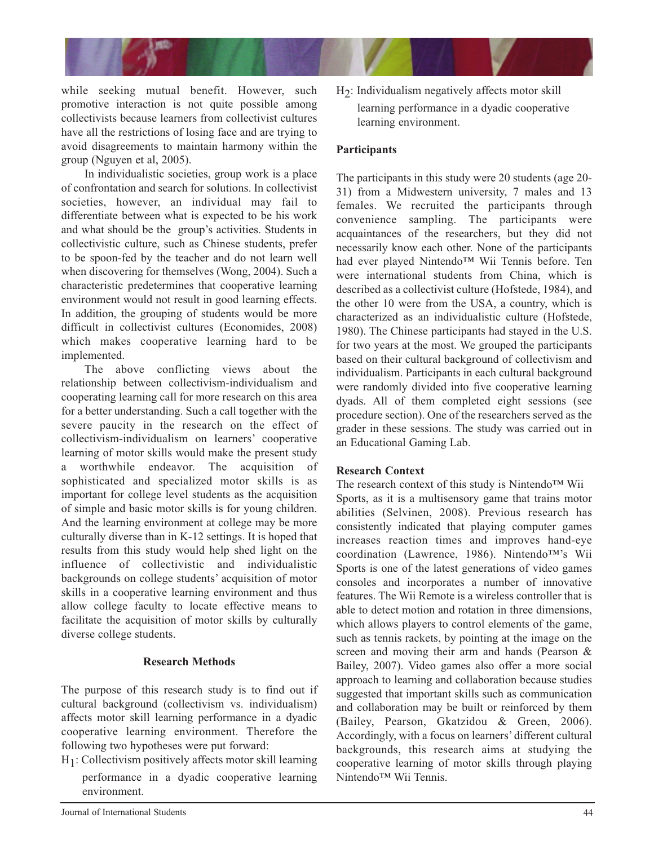

while seeking mutual benefit. However, such promotive interaction is not quite possible among collectivists because learners from collectivist cultures have all the restrictions of losing face and are trying to avoid disagreements to maintain harmony within the group (Nguyen et al, 2005).

In individualistic societies, group work is a place of confrontation and search for solutions. In collectivist societies, however, an individual may fail to differentiate between what is expected to be his work and what should be the group's activities. Students in collectivistic culture, such as Chinese students, prefer to be spoon-fed by the teacher and do not learn well when discovering for themselves (Wong, 2004). Such a characteristic predetermines that cooperative learning environment would not result in good learning effects. In addition, the grouping of students would be more difficult in collectivist cultures (Economides, 2008) which makes cooperative learning hard to be implemented.

The above conflicting views about the relationship between collectivism-individualism and cooperating learning call for more research on this area for a better understanding. Such a call together with the severe paucity in the research on the effect of collectivism-individualism on learners' cooperative learning of motor skills would make the present study a worthwhile endeavor. The acquisition of sophisticated and specialized motor skills is as important for college level students as the acquisition of simple and basic motor skills is for young children. And the learning environment at college may be more culturally diverse than in K-12 settings. It is hoped that results from this study would help shed light on the influence of collectivistic and individualistic backgrounds on college students' acquisition of motor skills in a cooperative learning environment and thus allow college faculty to locate effective means to facilitate the acquisition of motor skills by culturally diverse college students.

# **Research Methods**

The purpose of this research study is to find out if cultural background (collectivism vs. individualism) affects motor skill learning performance in a dyadic cooperative learning environment. Therefore the following two hypotheses were put forward:

H1 : Collectivism positively affects motor skill learning performance in a dyadic cooperative learning environment.

H2 : Individualism negatively affects motor skill learning performance in a dyadic cooperative learning environment.

# **Participants**

The participants in this study were 20 students (age 20- 31) from a Midwestern university, 7 males and 13 females. We recruited the participants through convenience sampling. The participants were acquaintances of the researchers, but they did not necessarily know each other. None of the participants had ever played Nintendo™ Wii Tennis before. Ten were international students from China, which is described as a collectivist culture (Hofstede, 1984), and the other 10 were from the USA, a country, which is characterized as an individualistic culture (Hofstede, 1980). The Chinese participants had stayed in the U.S. for two years at the most. We grouped the participants based on their cultural background of collectivism and individualism. Participants in each cultural background were randomly divided into five cooperative learning dyads. All of them completed eight sessions (see procedure section). One of the researchers served as the grader in these sessions. The study was carried out in an Educational Gaming Lab.

# **Research Context**

The research context of this study is Nintendo™ Wii Sports, as it is a multisensory game that trains motor abilities (Selvinen, 2008). Previous research has consistently indicated that playing computer games increases reaction times and improves hand-eye coordination (Lawrence, 1986). Nintendo™'s Wii Sports is one of the latest generations of video games consoles and incorporates a number of innovative features. The Wii Remote is a wireless controller that is able to detect motion and rotation in three dimensions, which allows players to control elements of the game, such as tennis rackets, by pointing at the image on the screen and moving their arm and hands (Pearson & Bailey, 2007). Video games also offer a more social approach to learning and collaboration because studies suggested that important skills such as communication and collaboration may be built or reinforced by them (Bailey, Pearson, Gkatzidou & Green, 2006). Accordingly, with a focus on learners' different cultural backgrounds, this research aims at studying the cooperative learning of motor skills through playing Nintendo<sup>™</sup> Wii Tennis.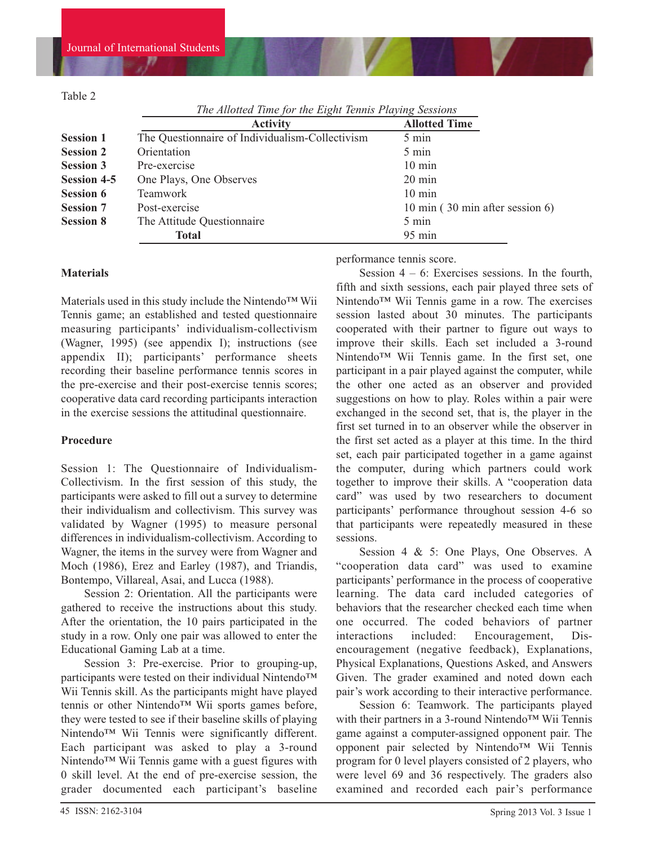Table 2

*The Allotted Time for the Eight Tennis Playing Sessions*

|                    | <b>Activity</b>                                 | <b>Allotted Time</b>            |
|--------------------|-------------------------------------------------|---------------------------------|
| <b>Session 1</b>   | The Questionnaire of Individualism-Collectivism | $5 \text{ min}$                 |
| <b>Session 2</b>   | Orientation                                     | 5 min                           |
| <b>Session 3</b>   | Pre-exercise                                    | $10 \text{ min}$                |
| <b>Session 4-5</b> | One Plays, One Observes                         | $20 \text{ min}$                |
| <b>Session 6</b>   | Teamwork                                        | $10 \text{ min}$                |
| <b>Session 7</b>   | Post-exercise                                   | 10 min (30 min after session 6) |
| <b>Session 8</b>   | The Attitude Questionnaire                      | 5 min                           |
|                    | <b>Total</b>                                    | 95 min                          |
|                    |                                                 |                                 |

#### **Materials**

Materials used in this study include the Nintendo™ Wii Tennis game; an established and tested questionnaire measuring participants' individualism-collectivism (Wagner, 1995) (see appendix I); instructions (see appendix II); participants' performance sheets recording their baseline performance tennis scores in the pre-exercise and their post-exercise tennis scores; cooperative data card recording participants interaction in the exercise sessions the attitudinal questionnaire.

### **Procedure**

Session 1: The Questionnaire of Individualism-Collectivism. In the first session of this study, the participants were asked to fill out a survey to determine their individualism and collectivism. This survey was validated by Wagner (1995) to measure personal differences in individualism-collectivism. According to Wagner, the items in the survey were from Wagner and Moch (1986), Erez and Earley (1987), and Triandis, Bontempo, Villareal, Asai, and Lucca (1988).

Session 2: Orientation. All the participants were gathered to receive the instructions about this study. After the orientation, the 10 pairs participated in the study in a row. Only one pair was allowed to enter the Educational Gaming Lab at a time.

Session 3: Pre-exercise. Prior to grouping-up, participants were tested on their individual Nintendo™ Wii Tennis skill. As the participants might have played tennis or other Nintendo™ Wii sports games before, they were tested to see if their baseline skills of playing Nintendo™ Wii Tennis were significantly different. Each participant was asked to play a 3-round Nintendo<sup>™</sup> Wii Tennis game with a guest figures with 0 skill level. At the end of pre-exercise session, the grader documented each participant's baseline

performance tennis score.

Session  $4 - 6$ : Exercises sessions. In the fourth, fifth and sixth sessions, each pair played three sets of Nintendo™ Wii Tennis game in a row. The exercises session lasted about 30 minutes. The participants cooperated with their partner to figure out ways to improve their skills. Each set included a 3-round Nintendo™ Wii Tennis game. In the first set, one participant in a pair played against the computer, while the other one acted as an observer and provided suggestions on how to play. Roles within a pair were exchanged in the second set, that is, the player in the first set turned in to an observer while the observer in the first set acted as a player at this time. In the third set, each pair participated together in a game against the computer, during which partners could work together to improve their skills. A "cooperation data card" was used by two researchers to document participants' performance throughout session 4-6 so that participants were repeatedly measured in these sessions.

Session 4 & 5: One Plays, One Observes. A "cooperation data card" was used to examine participants' performance in the process of cooperative learning. The data card included categories of behaviors that the researcher checked each time when one occurred. The coded behaviors of partner interactions included: Encouragement, Disencouragement (negative feedback), Explanations, Physical Explanations, Questions Asked, and Answers Given. The grader examined and noted down each pair's work according to their interactive performance.

Session 6: Teamwork. The participants played with their partners in a 3-round Nintendo™ Wii Tennis game against a computer-assigned opponent pair. The opponent pair selected by Nintendo™ Wii Tennis program for 0 level players consisted of 2 players, who were level 69 and 36 respectively. The graders also examined and recorded each pair's performance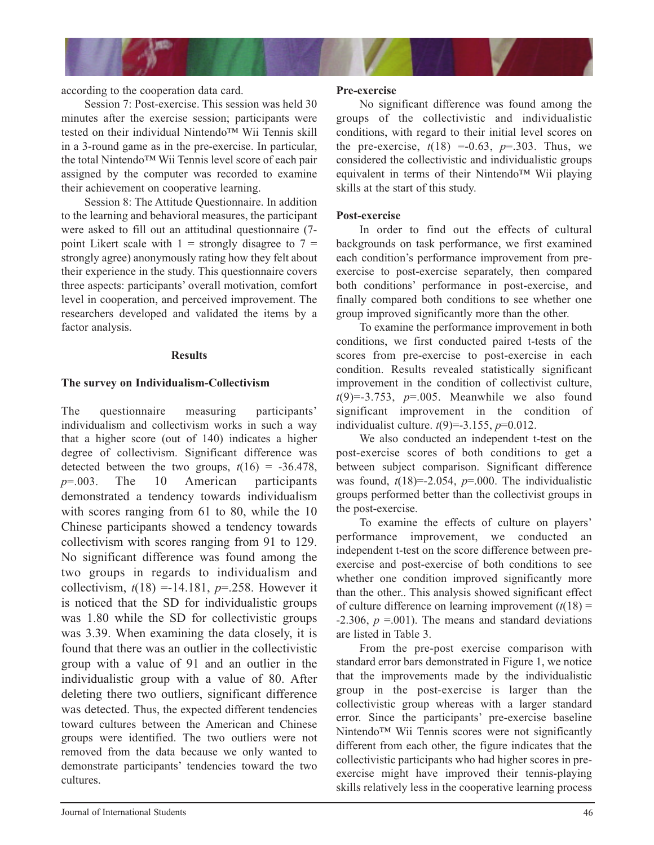

according to the cooperation data card.

Session 7: Post-exercise. This session was held 30 minutes after the exercise session; participants were tested on their individual Nintendo™ Wii Tennis skill in a 3-round game as in the pre-exercise. In particular, the total Nintendo™ Wii Tennis level score of each pair assigned by the computer was recorded to examine their achievement on cooperative learning.

Session 8: The Attitude Questionnaire. In addition to the learning and behavioral measures, the participant were asked to fill out an attitudinal questionnaire (7 point Likert scale with  $1 =$  strongly disagree to  $7 =$ strongly agree) anonymously rating how they felt about their experience in the study. This questionnaire covers three aspects: participants' overall motivation, comfort level in cooperation, and perceived improvement. The researchers developed and validated the items by a factor analysis.

### **Results**

# **The survey on Individualism-Collectivism**

The questionnaire measuring participants' individualism and collectivism works in such a way that a higher score (out of 140) indicates a higher degree of collectivism. Significant difference was detected between the two groups,  $t(16) = -36.478$ , *p*=.003. The 10 American participants demonstrated a tendency towards individualism with scores ranging from 61 to 80, while the 10 Chinese participants showed a tendency towards collectivism with scores ranging from 91 to 129. No significant difference was found among the two groups in regards to individualism and collectivism,  $t(18) = -14.181$ ,  $p = 0.258$ . However it is noticed that the SD for individualistic groups was 1.80 while the SD for collectivistic groups was 3.39. When examining the data closely, it is found that there was an outlier in the collectivistic group with a value of 91 and an outlier in the individualistic group with a value of 80. After deleting there two outliers, significant difference was detected. Thus, the expected different tendencies toward cultures between the American and Chinese groups were identified. The two outliers were not removed from the data because we only wanted to demonstrate participants' tendencies toward the two cultures.

# **Pre-exercise**

No significant difference was found among the groups of the collectivistic and individualistic conditions, with regard to their initial level scores on the pre-exercise,  $t(18) = -0.63$ ,  $p = .303$ . Thus, we considered the collectivistic and individualistic groups equivalent in terms of their Nintendo™ Wii playing skills at the start of this study.

# **Post-exercise**

In order to find out the effects of cultural backgrounds on task performance, we first examined each condition's performance improvement from preexercise to post-exercise separately, then compared both conditions' performance in post-exercise, and finally compared both conditions to see whether one group improved significantly more than the other.

To examine the performance improvement in both conditions, we first conducted paired t-tests of the scores from pre-exercise to post-exercise in each condition. Results revealed statistically significant improvement in the condition of collectivist culture,  $t(9) = -3.753$ ,  $p = .005$ . Meanwhile we also found significant improvement in the condition of individualist culture. *t*(9)=-3.155, *p*=0.012.

We also conducted an independent t-test on the post-exercise scores of both conditions to get a between subject comparison. Significant difference was found,  $t(18)=2.054$ ,  $p=.000$ . The individualistic groups performed better than the collectivist groups in the post-exercise.

To examine the effects of culture on players' performance improvement, we conducted an independent t-test on the score difference between preexercise and post-exercise of both conditions to see whether one condition improved significantly more than the other.. This analysis showed significant effect of culture difference on learning improvement  $(t(18) =$  $-2.306$ ,  $p = .001$ ). The means and standard deviations are listed in Table 3.

From the pre-post exercise comparison with standard error bars demonstrated in Figure 1, we notice that the improvements made by the individualistic group in the post-exercise is larger than the collectivistic group whereas with a larger standard error. Since the participants' pre-exercise baseline Nintendo<sup>™</sup> Wii Tennis scores were not significantly different from each other, the figure indicates that the collectivistic participants who had higher scores in preexercise might have improved their tennis-playing skills relatively less in the cooperative learning process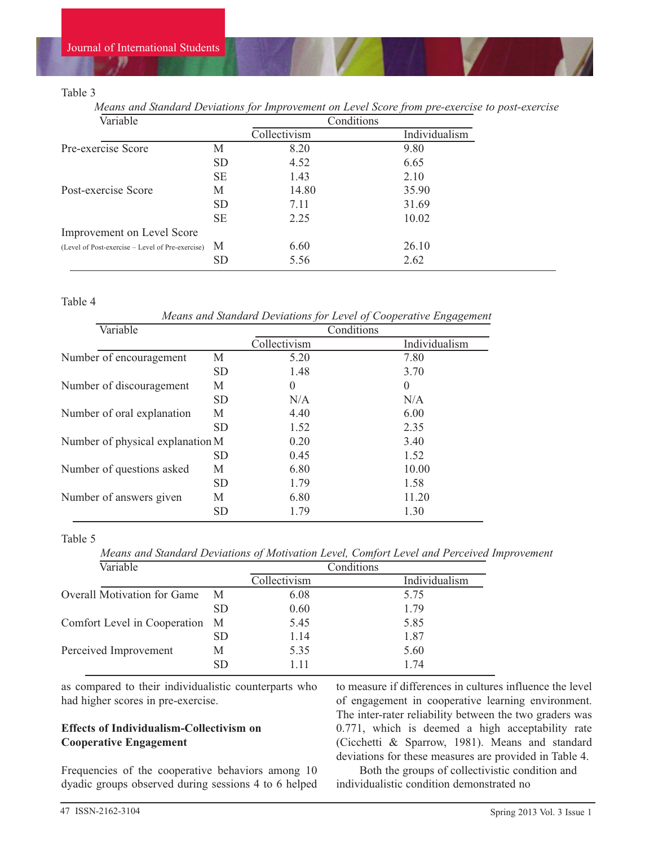### Table 3

*Means and Standard Deviations for Improvement on Level Score from pre-exercise to post-exercise*

| Variable                                             |           | Conditions   |               |
|------------------------------------------------------|-----------|--------------|---------------|
|                                                      |           | Collectivism | Individualism |
| Pre-exercise Score                                   | М         | 8.20         | 9.80          |
|                                                      | <b>SD</b> | 4.52         | 6.65          |
|                                                      | <b>SE</b> | 1.43         | 2.10          |
| Post-exercise Score                                  | М         | 14.80        | 35.90         |
|                                                      | SD.       | 7.11         | 31.69         |
|                                                      | <b>SE</b> | 2.25         | 10.02         |
| Improvement on Level Score                           |           |              |               |
| (Level of Post-exercise – Level of Pre-exercise) $M$ |           | 6.60         | 26.10         |
|                                                      | <b>SD</b> | 5.56         | 2.62          |

#### Table 4

*Means and Standard Deviations for Level of Cooperative Engagement*

| Variable                         |           | Conditions   |               |  |
|----------------------------------|-----------|--------------|---------------|--|
|                                  |           | Collectivism | Individualism |  |
| Number of encouragement          | М         | 5.20         | 7.80          |  |
|                                  | <b>SD</b> | 1.48         | 3.70          |  |
| Number of discouragement         | М         | 0            | $\theta$      |  |
|                                  | <b>SD</b> | N/A          | N/A           |  |
| Number of oral explanation       | М         | 4.40         | 6.00          |  |
|                                  | <b>SD</b> | 1.52         | 2.35          |  |
| Number of physical explanation M |           | 0.20         | 3.40          |  |
|                                  | <b>SD</b> | 0.45         | 1.52          |  |
| Number of questions asked        | М         | 6.80         | 10.00         |  |
|                                  | <b>SD</b> | 1.79         | 1.58          |  |
| Number of answers given          | М         | 6.80         | 11.20         |  |
|                                  | <b>SD</b> | 1.79         | 1.30          |  |

#### Table 5

*Means and Standard Deviations of Motivation Level, Comfort Level and Perceived Improvement*

| Variable                           |                 | Conditions   |               |
|------------------------------------|-----------------|--------------|---------------|
|                                    |                 | Collectivism | Individualism |
| <b>Overall Motivation for Game</b> | M               | 6.08         | 5.75          |
|                                    | <b>SD</b>       | 0.60         | 1.79          |
| Comfort Level in Cooperation M     |                 | 5.45         | 5.85          |
|                                    | SD <sub>1</sub> | 1.14         | 1.87          |
| Perceived Improvement              | М               | 5.35         | 5.60          |
|                                    | <b>SD</b>       | 1.11         | 1.74          |

as compared to their individualistic counterparts who had higher scores in pre-exercise.

# **Effects of Individualism-Collectivism on Cooperative Engagement**

Frequencies of the cooperative behaviors among 10 dyadic groups observed during sessions 4 to 6 helped to measure if differences in cultures influence the level of engagement in cooperative learning environment. The inter-rater reliability between the two graders was 0.771, which is deemed a high acceptability rate (Cicchetti & Sparrow, 1981). Means and standard deviations for these measures are provided in Table 4.

Both the groups of collectivistic condition and individualistic condition demonstrated no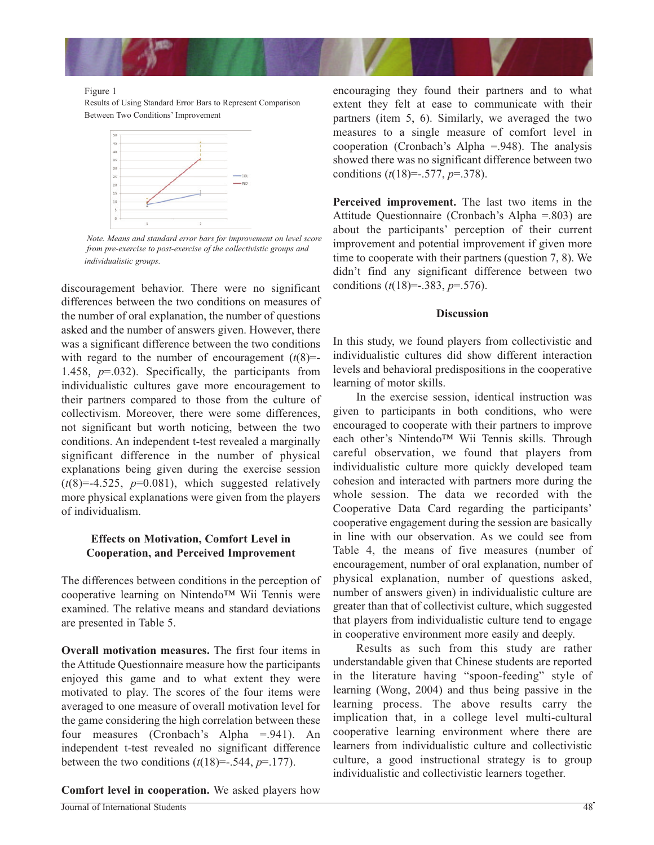

#### Figure 1

Results of Using Standard Error Bars to Represent Comparison Between Two Conditions' Improvement



*Note. Means and standard error bars for improvement on level score from pre-exercise to post-exercise of the collectivistic groups and individualistic groups.* 

discouragement behavior. There were no significant differences between the two conditions on measures of the number of oral explanation, the number of questions asked and the number of answers given. However, there was a significant difference between the two conditions with regard to the number of encouragement  $(t(8)$ =-1.458, *p*=.032). Specifically, the participants from individualistic cultures gave more encouragement to their partners compared to those from the culture of collectivism. Moreover, there were some differences, not significant but worth noticing, between the two conditions. An independent t-test revealed a marginally significant difference in the number of physical explanations being given during the exercise session  $(t(8)=4.525, p=0.081)$ , which suggested relatively more physical explanations were given from the players of individualism.

### **Effects on Motivation, Comfort Level in Cooperation, and Perceived Improvement**

The differences between conditions in the perception of cooperative learning on Nintendo™ Wii Tennis were examined. The relative means and standard deviations are presented in Table 5.

**Overall motivation measures.** The first four items in the Attitude Questionnaire measure how the participants enjoyed this game and to what extent they were motivated to play. The scores of the four items were averaged to one measure of overall motivation level for the game considering the high correlation between these four measures (Cronbach's Alpha =.941). An independent t-test revealed no significant difference between the two conditions  $(t(18)=-.544, p=.177)$ .

**Comfort level in cooperation.** We asked players how

encouraging they found their partners and to what extent they felt at ease to communicate with their partners (item 5, 6). Similarly, we averaged the two measures to a single measure of comfort level in cooperation (Cronbach's Alpha =.948). The analysis showed there was no significant difference between two conditions (*t*(18)=-.577, *p*=.378).

**Perceived improvement.** The last two items in the Attitude Questionnaire (Cronbach's Alpha =.803) are about the participants' perception of their current improvement and potential improvement if given more time to cooperate with their partners (question 7, 8). We didn't find any significant difference between two conditions (*t*(18)=-.383, *p*=.576).

#### **Discussion**

In this study, we found players from collectivistic and individualistic cultures did show different interaction levels and behavioral predispositions in the cooperative learning of motor skills.

In the exercise session, identical instruction was given to participants in both conditions, who were encouraged to cooperate with their partners to improve each other's Nintendo™ Wii Tennis skills. Through careful observation, we found that players from individualistic culture more quickly developed team cohesion and interacted with partners more during the whole session. The data we recorded with the Cooperative Data Card regarding the participants' cooperative engagement during the session are basically in line with our observation. As we could see from Table 4, the means of five measures (number of encouragement, number of oral explanation, number of physical explanation, number of questions asked, number of answers given) in individualistic culture are greater than that of collectivist culture, which suggested that players from individualistic culture tend to engage in cooperative environment more easily and deeply.

Results as such from this study are rather understandable given that Chinese students are reported in the literature having "spoon-feeding" style of learning (Wong, 2004) and thus being passive in the learning process. The above results carry the implication that, in a college level multi-cultural cooperative learning environment where there are learners from individualistic culture and collectivistic culture, a good instructional strategy is to group individualistic and collectivistic learners together.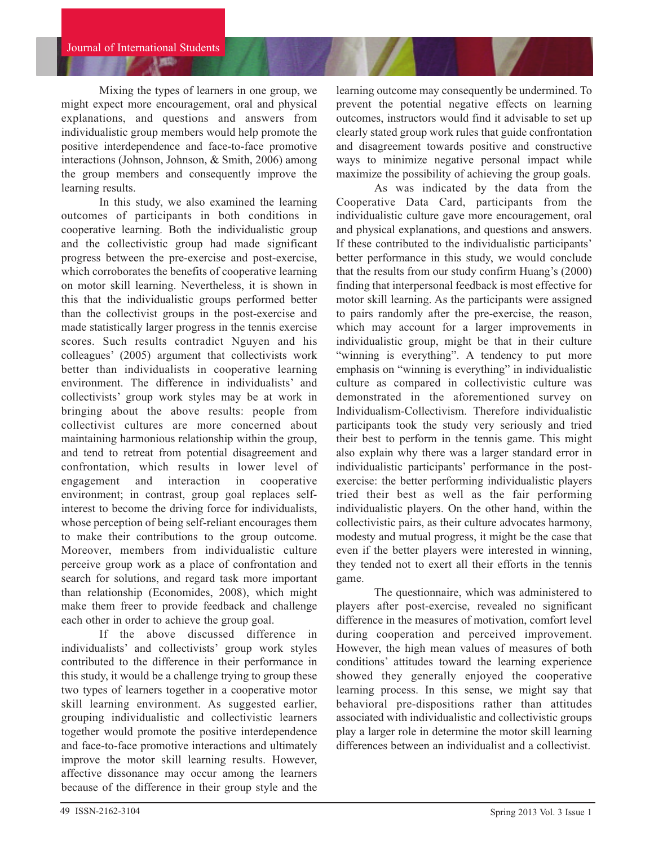Mixing the types of learners in one group, we might expect more encouragement, oral and physical explanations, and questions and answers from individualistic group members would help promote the positive interdependence and face-to-face promotive interactions (Johnson, Johnson, & Smith, 2006) among the group members and consequently improve the learning results.

In this study, we also examined the learning outcomes of participants in both conditions in cooperative learning. Both the individualistic group and the collectivistic group had made significant progress between the pre-exercise and post-exercise, which corroborates the benefits of cooperative learning on motor skill learning. Nevertheless, it is shown in this that the individualistic groups performed better than the collectivist groups in the post-exercise and made statistically larger progress in the tennis exercise scores. Such results contradict Nguyen and his colleagues' (2005) argument that collectivists work better than individualists in cooperative learning environment. The difference in individualists' and collectivists' group work styles may be at work in bringing about the above results: people from collectivist cultures are more concerned about maintaining harmonious relationship within the group, and tend to retreat from potential disagreement and confrontation, which results in lower level of engagement and interaction in cooperative environment; in contrast, group goal replaces selfinterest to become the driving force for individualists, whose perception of being self-reliant encourages them to make their contributions to the group outcome. Moreover, members from individualistic culture perceive group work as a place of confrontation and search for solutions, and regard task more important than relationship (Economides, 2008), which might make them freer to provide feedback and challenge each other in order to achieve the group goal.

If the above discussed difference in individualists' and collectivists' group work styles contributed to the difference in their performance in this study, it would be a challenge trying to group these two types of learners together in a cooperative motor skill learning environment. As suggested earlier, grouping individualistic and collectivistic learners together would promote the positive interdependence and face-to-face promotive interactions and ultimately improve the motor skill learning results. However, affective dissonance may occur among the learners because of the difference in their group style and the learning outcome may consequently be undermined. To prevent the potential negative effects on learning outcomes, instructors would find it advisable to set up clearly stated group work rules that guide confrontation and disagreement towards positive and constructive ways to minimize negative personal impact while maximize the possibility of achieving the group goals.

As was indicated by the data from the Cooperative Data Card, participants from the individualistic culture gave more encouragement, oral and physical explanations, and questions and answers. If these contributed to the individualistic participants' better performance in this study, we would conclude that the results from our study confirm Huang's (2000) finding that interpersonal feedback is most effective for motor skill learning. As the participants were assigned to pairs randomly after the pre-exercise, the reason, which may account for a larger improvements in individualistic group, might be that in their culture "winning is everything". A tendency to put more emphasis on "winning is everything" in individualistic culture as compared in collectivistic culture was demonstrated in the aforementioned survey on Individualism-Collectivism. Therefore individualistic participants took the study very seriously and tried their best to perform in the tennis game. This might also explain why there was a larger standard error in individualistic participants' performance in the postexercise: the better performing individualistic players tried their best as well as the fair performing individualistic players. On the other hand, within the collectivistic pairs, as their culture advocates harmony, modesty and mutual progress, it might be the case that even if the better players were interested in winning, they tended not to exert all their efforts in the tennis game.

The questionnaire, which was administered to players after post-exercise, revealed no significant difference in the measures of motivation, comfort level during cooperation and perceived improvement. However, the high mean values of measures of both conditions' attitudes toward the learning experience showed they generally enjoyed the cooperative learning process. In this sense, we might say that behavioral pre-dispositions rather than attitudes associated with individualistic and collectivistic groups play a larger role in determine the motor skill learning differences between an individualist and a collectivist.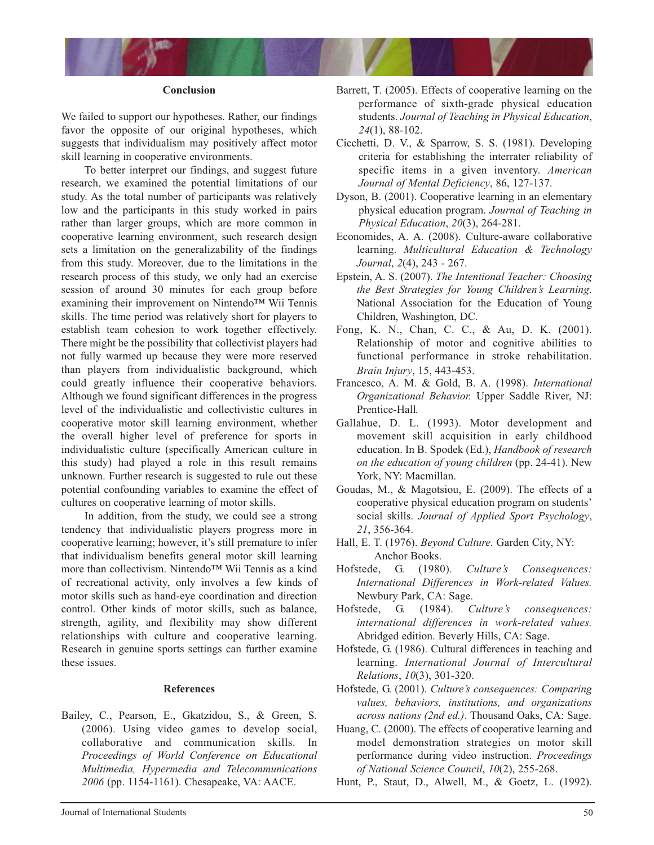

#### **Conclusion**

We failed to support our hypotheses. Rather, our findings favor the opposite of our original hypotheses, which suggests that individualism may positively affect motor skill learning in cooperative environments.

To better interpret our findings, and suggest future research, we examined the potential limitations of our study. As the total number of participants was relatively low and the participants in this study worked in pairs rather than larger groups, which are more common in cooperative learning environment, such research design sets a limitation on the generalizability of the findings from this study. Moreover, due to the limitations in the research process of this study, we only had an exercise session of around 30 minutes for each group before examining their improvement on Nintendo™ Wii Tennis skills. The time period was relatively short for players to establish team cohesion to work together effectively. There might be the possibility that collectivist players had not fully warmed up because they were more reserved than players from individualistic background, which could greatly influence their cooperative behaviors. Although we found significant differences in the progress level of the individualistic and collectivistic cultures in cooperative motor skill learning environment, whether the overall higher level of preference for sports in individualistic culture (specifically American culture in this study) had played a role in this result remains unknown. Further research is suggested to rule out these potential confounding variables to examine the effect of cultures on cooperative learning of motor skills.

In addition, from the study, we could see a strong tendency that individualistic players progress more in cooperative learning; however, it's still premature to infer that individualism benefits general motor skill learning more than collectivism. Nintendo™ Wii Tennis as a kind of recreational activity, only involves a few kinds of motor skills such as hand-eye coordination and direction control. Other kinds of motor skills, such as balance, strength, agility, and flexibility may show different relationships with culture and cooperative learning. Research in genuine sports settings can further examine these issues.

#### **References**

Bailey, C., Pearson, E., Gkatzidou, S., & Green, S. (2006). Using video games to develop social, collaborative and communication skills. In *Proceedings of World Conference on Educational Multimedia, Hypermedia and Telecommunications 2006* (pp. 1154-1161). Chesapeake, VA: AACE.

- Barrett, T. (2005). Effects of cooperative learning on the performance of sixth-grade physical education students. *Journal of Teaching in Physical Education*, *24*(1), 88-102.
- Cicchetti, D. V., & Sparrow, S. S. (1981). Developing criteria for establishing the interrater reliability of specific items in a given inventory. *American Journal of Mental Deficiency*, 86, 127-137.
- Dyson, B. (2001). Cooperative learning in an elementary physical education program. *Journal of Teaching in Physical Education*, *20*(3), 264-281.
- Economides, A. A. (2008). Culture-aware collaborative learning. *Multicultural Education & Technology Journal*, *2*(4), 243 - 267.
- Epstein, A. S. (2007). *The Intentional Teacher: Choosing the Best Strategies for Young Children's Learning*. National Association for the Education of Young Children, Washington, DC.
- Fong, K. N., Chan, C. C., & Au, D. K. (2001). Relationship of motor and cognitive abilities to functional performance in stroke rehabilitation. *Brain Injury*, 15, 443‐453.
- Francesco, A. M. & Gold, B. A. (1998). *International Organizational Behavior.* Upper Saddle River, NJ: Prentice-Hall*.*
- Gallahue, D. L. (1993). Motor development and movement skill acquisition in early childhood education. In B. Spodek (Ed.), *Handbook of research on the education of young children* (pp. 24-41). New York, NY: Macmillan.
- Goudas, M., & Magotsiou, E. (2009). The effects of a cooperative physical education program on students' social skills. *Journal of Applied Sport Psychology*, *21*, 356-364.
- Hall, E. T. (1976). *Beyond Culture.* Garden City, NY: Anchor Books.
- Hofstede, G. (1980). *Culture's Consequences: International Differences in Work-related Values.* Newbury Park, CA: Sage.
- Hofstede, G. (1984). *Culture's consequences: international differences in work-related values.* Abridged edition. Beverly Hills, CA: Sage.
- Hofstede, G. (1986). Cultural differences in teaching and learning. *International Journal of Intercultural Relations*, *10*(3), 301-320.
- Hofstede, G. (2001). *Culture's consequences: Comparing values, behaviors, institutions, and organizations across nations (2nd ed.)*. Thousand Oaks, CA: Sage.
- Huang, C. (2000). The effects of cooperative learning and model demonstration strategies on motor skill performance during video instruction. *Proceedings of National Science Council*, *10*(2), 255-268.
- Hunt, P., Staut, D., Alwell, M., & Goetz, L. (1992).